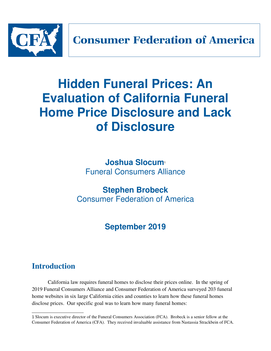

# **Hidden Funeral Prices: An Evaluation of California Funeral Home Price Disclosure and Lack of Disclosure**

**Joshua Slocum**<sup>1</sup> Funeral Consumers Alliance

# **Stephen Brobeck** Consumer Federation of America

# **September 2019**

# **Introduction**

California law requires funeral homes to disclose their prices online. In the spring of 2019 Funeral Consumers Alliance and Consumer Federation of America surveyed 203 funeral home websites in six large California cities and counties to learn how these funeral homes disclose prices. Our specific goal was to learn how many funeral homes:

<sup>1</sup> Slocum is executive director of the Funeral Consumers Association (FCA). Brobeck is a senior fellow at the Consumer Federation of America (CFA). They received invaluable assistance from Nastassia Strackbein of FCA.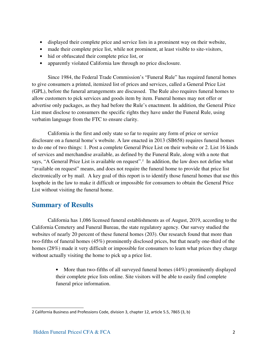- displayed their complete price and service lists in a prominent way on their website,
- made their complete price list, while not prominent, at least visible to site-visitors,
- hid or obfuscated their complete price list, or
- apparently violated California law through no price disclosure.

Since 1984, the Federal Trade Commission's "Funeral Rule" has required funeral homes to give consumers a printed, itemized list of prices and services, called a General Price List (GPL), before the funeral arrangements are discussed. The Rule also requires funeral homes to allow customers to pick services and goods item by item. Funeral homes may not offer or advertise only packages, as they had before the Rule's enactment. In addition, the General Price List must disclose to consumers the specific rights they have under the Funeral Rule, using verbatim language from the FTC to ensure clarity.

California is the first and only state so far to require any form of price or service disclosure on a funeral home's website. A law enacted in 2013 (SB658) requires funeral homes to do one of two things: 1. Post a complete General Price List on their website or 2. List 16 kinds of services and merchandise available, as defined by the Funeral Rule, along with a note that says, "A General Price List is available on request".<sup>2</sup> In addition, the law does not define what "available on request" means, and does not require the funeral home to provide that price list electronically or by mail. A key goal of this report is to identify those funeral homes that use this loophole in the law to make it difficult or impossible for consumers to obtain the General Price List without visiting the funeral home.

### **Summary of Results**

California has 1,086 licensed funeral establishments as of August, 2019, according to the California Cemetery and Funeral Bureau, the state regulatory agency. Our survey studied the websites of nearly 20 percent of these funeral homes (203). Our research found that more than two-fifths of funeral homes (45%) prominently disclosed prices, but that nearly one-third of the homes (28%) made it very difficult or impossible for consumers to learn what prices they charge without actually visiting the home to pick up a price list.

> • More than two-fifths of all surveyed funeral homes (44%) prominently displayed their complete price lists online. Site visitors will be able to easily find complete funeral price information.

<sup>2</sup> California Business and Professions Code, division 3, chapter 12, article 5.5, 7865 (3, b)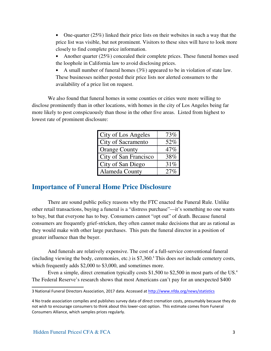• One-quarter (25%) linked their price lists on their websites in such a way that the price list was visible, but not prominent. Visitors to these sites will have to look more closely to find complete price information.

• Another quarter (25%) concealed their complete prices. These funeral homes used the loophole in California law to avoid disclosing prices.

• A small number of funeral homes (3%) appeared to be in violation of state law. These businesses neither posted their price lists nor alerted consumers to the availability of a price list on request.

We also found that funeral homes in some counties or cities were more willing to disclose prominently than in other locations, with homes in the city of Los Angeles being far more likely to post conspicuously than those in the other five areas. Listed from highest to lowest rate of prominent disclosure:

| City of Los Angeles   | 73% |
|-----------------------|-----|
| City of Sacramento    | 52% |
| <b>Orange County</b>  | 47% |
| City of San Francisco | 38% |
| City of San Diego     | 31% |
| Alameda County        | 279 |

# **Importance of Funeral Home Price Disclosure**

There are sound public policy reasons why the FTC enacted the Funeral Rule. Unlike other retail transactions, buying a funeral is a "distress purchase"—it's something no one wants to buy, but that everyone has to buy. Consumers cannot "opt out" of death. Because funeral consumers are frequently grief-stricken, they often cannot make decisions that are as rational as they would make with other large purchases. This puts the funeral director in a position of greater influence than the buyer.

And funerals are relatively expensive. The cost of a full-service conventional funeral (including viewing the body, ceremonies, etc.) is \$7,360.<sup>3</sup> This does *not* include cemetery costs, which frequently adds \$2,000 to \$3,000, and sometimes more.

Even a simple, direct cremation typically costs \$1,500 to \$2,500 in most parts of the US.<sup>4</sup> The Federal Reserve's research shows that most Americans can't pay for an unexpected \$400

<sup>3</sup> National Funeral Directors Association, 2017 data. Accessed at http://www.nfda.org/news/statistics

<sup>4</sup> No trade association compiles and publishes survey data of direct cremation costs, presumably because they do not wish to encourage consumers to think about this lower-cost option. This estimate comes from Funeral Consumers Alliance, which samples prices regularly.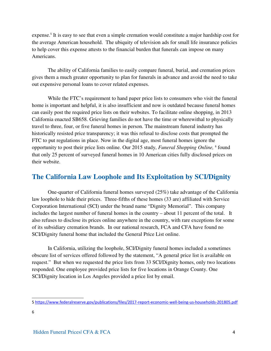expense.<sup>5</sup> It is easy to see that even a simple cremation would constitute a major hardship cost for the average American household. The ubiquity of television ads for small life insurance policies to help cover this expense attests to the financial burden that funerals can impose on many Americans.

The ability of California families to easily compare funeral, burial, and cremation prices gives them a much greater opportunity to plan for funerals in advance and avoid the need to take out expensive personal loans to cover related expenses.

While the FTC's requirement to hand paper price lists to consumers who visit the funeral home is important and helpful, it is also insufficient and now is outdated because funeral homes can easily post the required price lists on their websites. To facilitate online shopping, in 2013 California enacted SB658. Grieving families do not have the time or wherewithal to physically travel to three, four, or five funeral homes in person. The mainstream funeral industry has historically resisted price transparency; it was this refusal to disclose costs that prompted the FTC to put regulations in place. Now in the digital age, most funeral homes ignore the opportunity to post their price lists online. Our 2015 study, *Funeral Shopping Online*, <sup>6</sup> found that only 25 percent of surveyed funeral homes in 10 American cities fully disclosed prices on their website.

# **The California Law Loophole and Its Exploitation by SCI/Dignity**

One-quarter of California funeral homes surveyed (25%) take advantage of the California law loophole to hide their prices. Three-fifths of these homes (33 are) affiliated with Service Corporation International (SCI) under the brand name "Dignity Memorial". This company includes the largest number of funeral homes in the country – about 11 percent of the total. It also refuses to disclose its prices online anywhere in the country, with rare exceptions for some of its subsidiary cremation brands. In our national research, FCA and CFA have found no SCI/Dignity funeral home that included the General Price List online.

In California, utilizing the loophole, SCI/Dignity funeral homes included a sometimes obscure list of services offered followed by the statement, "A general price list is available on request." But when we requested the price lists from 33 SCI/Dignity homes, only two locations responded. One employee provided price lists for five locations in Orange County. One SCI/Dignity location in Los Angeles provided a price list by email.

<sup>5</sup> https://www.federalreserve.gov/publications/files/2017-report-economic-well-being-us-households-201805.pdf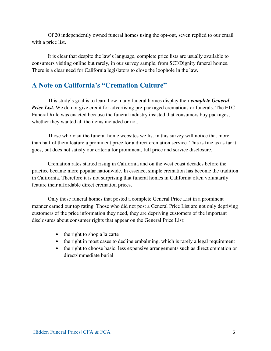Of 20 independently owned funeral homes using the opt-out, seven replied to our email with a price list.

It is clear that despite the law's language, complete price lists are usually available to consumers visiting online but rarely, in our survey sample, from SCI/Dignity funeral homes. There is a clear need for California legislators to close the loophole in the law.

## **A Note on California's "Cremation Culture"**

This study's goal is to learn how many funeral homes display their *complete General Price List.* We do not give credit for advertising pre-packaged cremations or funerals. The FTC Funeral Rule was enacted because the funeral industry insisted that consumers buy packages, whether they wanted all the items included or not.

Those who visit the funeral home websites we list in this survey will notice that more than half of them feature a prominent price for a direct cremation service. This is fine as as far it goes, but does not satisfy our criteria for prominent, full price and service disclosure.

Cremation rates started rising in California and on the west coast decades before the practice became more popular nationwide. In essence, simple cremation has become the tradition in California. Therefore it is not surprising that funeral homes in California often voluntarily feature their affordable direct cremation prices.

Only those funeral homes that posted a complete General Price List in a prominent manner earned our top rating. Those who did not post a General Price List are not only depriving customers of the price information they need, they are depriving customers of the important disclosures about consumer rights that appear on the General Price List:

- the right to shop a la carte
- the right in most cases to decline embalming, which is rarely a legal requirement
- the right to choose basic, less expensive arrangements such as direct cremation or direct/immediate burial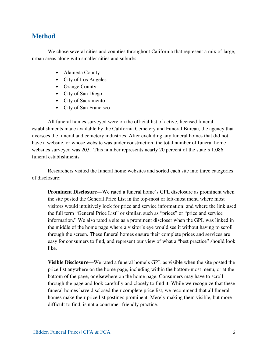### **Method**

We chose several cities and counties throughout California that represent a mix of large, urban areas along with smaller cities and suburbs:

- Alameda County
- City of Los Angeles
- Orange County
- City of San Diego
- City of Sacramento
- City of San Francisco

All funeral homes surveyed were on the official list of active, licensed funeral establishments made available by the California Cemetery and Funeral Bureau, the agency that oversees the funeral and cemetery industries. After excluding any funeral homes that did not have a website, or whose website was under construction, the total number of funeral home websites surveyed was 203. This number represents nearly 20 percent of the state's 1,086 funeral establishments.

Researchers visited the funeral home websites and sorted each site into three categories of disclosure:

**Prominent Disclosure—We rated a funeral home's GPL disclosure as prominent when** the site posted the General Price List in the top-most or left-most menu where most visitors would intuitively look for price and service information; and where the link used the full term "General Price List" or similar, such as "prices" or "price and service information." We also rated a site as a prominent discloser when the GPL was linked in the middle of the home page where a visitor's eye would see it without having to scroll through the screen. These funeral homes ensure their complete prices and services are easy for consumers to find, and represent our view of what a "best practice" should look like.

**Visible Disclosure—**We rated a funeral home's GPL as visible when the site posted the price list anywhere on the home page, including within the bottom-most menu, or at the bottom of the page, or elsewhere on the home page. Consumers may have to scroll through the page and look carefully and closely to find it. While we recognize that these funeral homes have disclosed their complete price list, we recommend that all funeral homes make their price list postings prominent. Merely making them visible, but more difficult to find, is not a consumer-friendly practice.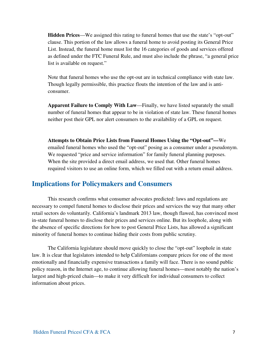**Hidden Prices**—We assigned this rating to funeral homes that use the state's "opt-out" clause. This portion of the law allows a funeral home to avoid posting its General Price List. Instead, the funeral home must list the 16 categories of goods and services offered as defined under the FTC Funeral Rule, and must also include the phrase, "a general price list is available on request."

Note that funeral homes who use the opt-out are in technical compliance with state law. Though legally permissible, this practice flouts the intention of the law and is anticonsumer.

**Apparent Failure to Comply With Law**—Finally, we have listed separately the small number of funeral homes that appear to be in violation of state law. These funeral homes neither post their GPL nor alert consumers to the availability of a GPL on request.

**Attempts to Obtain Price Lists from Funeral Homes Using the "Opt-out"—**We emailed funeral homes who used the "opt-out" posing as a consumer under a pseudonym. We requested "price and service information" for family funeral planning purposes. When the site provided a direct email address, we used that. Other funeral homes required visitors to use an online form, which we filled out with a return email address.

### **Implications for Policymakers and Consumers**

This research confirms what consumer advocates predicted: laws and regulations are necessary to compel funeral homes to disclose their prices and services the way that many other retail sectors do voluntarily. California's landmark 2013 law, though flawed, has convinced most in-state funeral homes to disclose their prices and services online. But its loophole, along with the absence of specific directions for how to post General Price Lists, has allowed a significant minority of funeral homes to continue hiding their costs from public scrutiny.

The California legislature should move quickly to close the "opt-out" loophole in state law. It is clear that legislators intended to help Californians compare prices for one of the most emotionally and financially expensive transactions a family will face. There is no sound public policy reason, in the Internet age, to continue allowing funeral homes—most notably the nation's largest and high-priced chain—to make it very difficult for individual consumers to collect information about prices.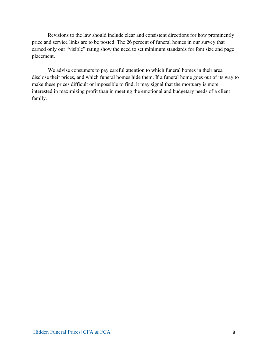Revisions to the law should include clear and consistent directions for how prominently price and service links are to be posted. The 26 percent of funeral homes in our survey that earned only our "visible" rating show the need to set minimum standards for font size and page placement.

We advise consumers to pay careful attention to which funeral homes in their area disclose their prices, and which funeral homes hide them. If a funeral home goes out of its way to make these prices difficult or impossible to find, it may signal that the mortuary is more interested in maximizing profit than in meeting the emotional and budgetary needs of a client family.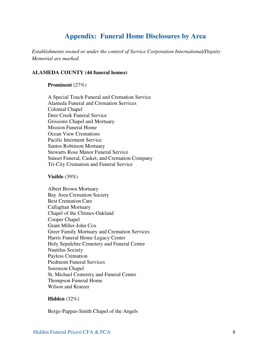# **Appendix: Funeral Home Disclosures by Area**

*Establishments owned or under the control of Service Corporation International/Dignity Memorial are marked.* 

#### **ALAMEDA COUNTY (44 funeral homes)**

#### **Prominent** (27%)

A Special Touch Funeral and Cremation Service Alameda Funeral and Cremation Services Colonial Chapel Deer Creek Funeral Service Grissoms Chapel and Mortuary Mission Funeral Home Ocean View Cremations Pacific Interment Service Santos Robinson Mortuary Stewarts Rose Manor Funeral Service Sunset Funeral, Casket, and Cremation Company Tri-City Cremation and Funeral Service

**Visible** (39%)

Albert Brown Mortuary Bay Area Cremation Society Best Cremation Care Callaghan Mortuary Chapel of the Chimes-Oakland Cooper Chapel Grant Miller-John Cox Greer Family Mortuary and Cremation Services Harris Funeral Home Legacy Center Holy Sepulchre Cemetery and Funeral Center Nautilus Society Payless Cremation Piedmont Funeral Services Sorenson Chapel St. Michael Cemetery and Funeral Center Thompson Funeral Home Wilson and Kratzer

#### **Hidden** (32%)

Berge-Pappas-Smith Chapel of the Angels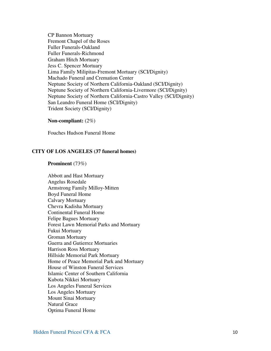CP Bannon Mortuary Fremont Chapel of the Roses Fuller Funerals-Oakland Fuller Funerals-Richmond Graham Hitch Mortuary Jess C. Spencer Mortuary Lima Family Milipitas-Fremont Mortuary (SCI/Dignity) Machado Funeral and Cremation Center Neptune Society of Northern California-Oakland (SCI/Dignity) Neptune Society of Northern California-Livermore (SCI/Dignity) Neptune Society of Northern California-Castro Valley (SCI/Dignity) San Leandro Funeral Home (SCI/Dignity) Trident Society (SCI/Dignity)

#### **Non-compliant:** (2%)

Fouches Hudson Funeral Home

#### **CITY OF LOS ANGELES (37 funeral homes)**

#### **Prominent** (73%)

Abbott and Hast Mortuary Angelus Rosedale Armstrong Family Milloy-Mitten Boyd Funeral Home Calvary Mortuary Chevra Kadisha Mortuary Continental Funeral Home Felipe Bagues Mortuary Forest Lawn Memorial Parks and Mortuary Fukui Mortuary Groman Mortuary Guerra and Gutierrez Mortuaries Harrison Ross Mortuary Hillside Memorial Park Mortuary Home of Peace Memorial Park and Mortuary House of Winston Funeral Services Islamic Center of Southern California Kubota Nikkei Mortuary Los Angeles Funeral Services Los Angeles Mortuary Mount Sinai Mortuary Natural Grace Optima Funeral Home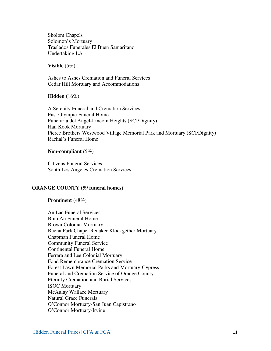Sholom Chapels Solomon's Mortuary Traslados Funerales El Buen Samaritano Undertaking LA

#### **Visible** (5%)

Ashes to Ashes Cremation and Funeral Services Cedar Hill Mortuary and Accommodations

#### **Hidden** (16%)

A Serenity Funeral and Cremation Services East Olympic Funeral Home Funeraria del Angel-Lincoln Heights (SCI/Dignity) Han Kook Mortuary Pierce Brothers Westwood Village Memorial Park and Mortuary (SCI/Dignity) Rachal's Funeral Home

#### **Non-compliant** (5%)

Citizens Funeral Services South Los Angeles Cremation Services

#### **ORANGE COUNTY (59 funeral homes)**

**Prominent** (48%)

An Lac Funeral Services Binh An Funeral Home Brown Colonial Mortuary Buena Park Chapel Renaker Klockgether Mortuary Chapman Funeral Home Community Funeral Service Continental Funeral Home Ferrara and Lee Colonial Mortuary Fond Remembrance Cremation Service Forest Lawn Memorial Parks and Mortuary-Cypress Funeral and Cremation Service of Orange County Eternity Cremation and Burial Services ISOC Mortuary McAulay Wallace Mortuary Natural Grace Funerals O'Connor Mortuary-San Juan Capistrano O'Connor Mortuary-Irvine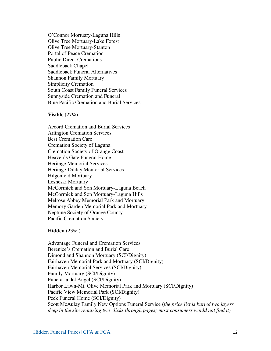O'Connor Mortuary-Laguna Hills Olive Tree Mortuary-Lake Forest Olive Tree Mortuary-Stanton Portal of Peace Cremation Public Direct Cremations Saddleback Chapel Saddleback Funeral Alternatives Shannon Family Mortuary Simplicity Cremation South Coast Family Funeral Services Sunnyside Cremation and Funeral Blue Pacific Cremation and Burial Services

**Visible** (27%)

Accord Cremation and Burial Services Arlington Cremation Services Best Cremation Care Cremation Society of Laguna Cremation Society of Orange Coast Heaven's Gate Funeral Home Heritage Memorial Services Heritage-Dilday Memorial Services Hilgenfeld Mortuary Lesneski Mortuary McCormick and Son Mortuary-Laguna Beach McCormick and Son Mortuary-Laguna Hills Melrose Abbey Memorial Park and Mortuary Memory Garden Memorial Park and Mortuary Neptune Society of Orange County Pacific Cremation Society

**Hidden** (23% )

Advantage Funeral and Cremation Services Berenice's Cremation and Burial Care Dimond and Shannon Mortuary (SCI/Dignity) Fairhaven Memorial Park and Mortuary (SCI/Dignity) Fairhaven Memorial Services (SCI/Dignity) Family Mortuary (SCI/Dignity) Funeraria del Angel (SCI/Dignity) Harbor Lawn-Mt. Olive Memorial Park and Mortuary (SCI/Dignity) Pacific View Memorial Park (SCI/Dignity) Peek Funeral Home (SCI/Dignity) Scott McAulay Family New Options Funeral Service (*the price list is buried two layers deep in the site requiring two clicks through pages; most consumers would not find it)*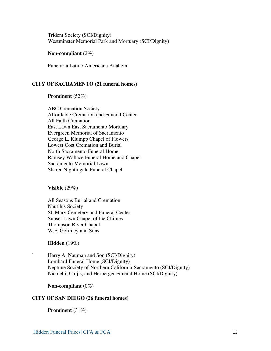Trident Society (SCI/Dignity) Westminster Memorial Park and Mortuary (SCI/Dignity)

**Non-compliant** (2%)

Funeraria Latino Americana Anaheim

#### **CITY OF SACRAMENTO (21 funeral homes)**

#### **Prominent** (52%)

ABC Cremation Society Affordable Cremation and Funeral Center All Faith Cremation East Lawn East Sacramento Mortuary Evergreen Memorial of Sacramento George L. Klumpp Chapel of Flowers Lowest Cost Cremation and Burial North Sacramento Funeral Home Ramsey Wallace Funeral Home and Chapel Sacramento Memorial Lawn Sharer-Nightingale Funeral Chapel

**Visible** (29%)

All Seasons Burial and Cremation Nautilus Society St. Mary Cemetery and Funeral Center Sunset Lawn Chapel of the Chimes Thompson River Chapel W.F. Gormley and Sons

**Hidden** (19%)

` Harry A. Nauman and Son (SCI/Dignity) Lombard Funeral Home (SCI/Dignity) Neptune Society of Northern California-Sacramento (SCI/Dignity) Nicoletti, Culjis, and Herberger Funeral Home (SCI/Dignity)

**Non-compliant** (0%)

#### **CITY OF SAN DIEGO (26 funeral homes)**

**Prominent** (31%)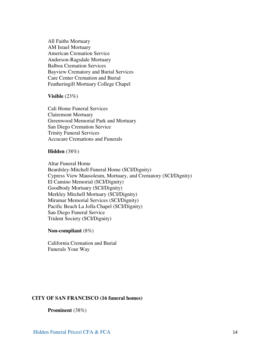All Faiths Mortuary AM Israel Mortuary American Cremation Service Anderson-Ragsdale Mortuary Balboa Cremation Services Bayview Crematory and Burial Services Care Center Cremation and Burial Featheringill Mortuary College Chapel

**Visible** (23%)

Cali Home Funeral Services Clairemont Mortuary Greenwood Memorial Park and Mortuary San Diego Cremation Service Trinity Funeral Services Accucare Cremations and Funerals

#### **Hidden** (38%)

Altar Funeral Home Beardsley-Mitchell Funeral Home (SCI/Dignity) Cypress View Mausoleum, Mortuary, and Crematory (SCI/Dignity) El Camino Memorial (SCI/Dignity) Goodbody Mortuary (SCI/Dignity) Merkley Mitchell Mortuary (SCI/Dignity) Miramar Memorial Services (SCI/Dignity) Pacific Beach La Jolla Chapel (SCI/Dignity) San Diego Funeral Service Trident Society (SCI/Dignity)

**Non-compliant** (8%)

California Cremation and Burial Funerals Your Way

#### **CITY OF SAN FRANCISCO (16 funeral homes)**

**Prominent** (38%)